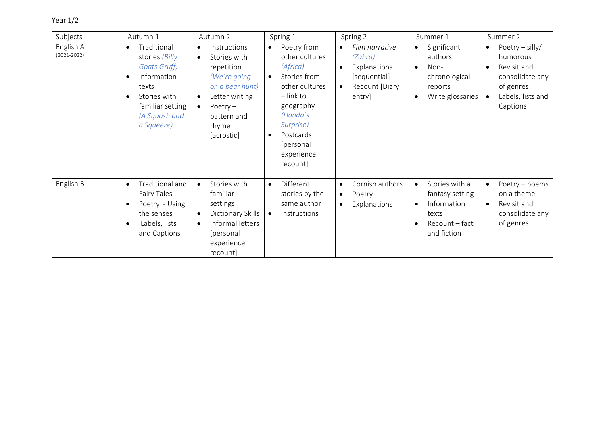## Year 1/2

| Subjects                     | Autumn 1                                                                                                                                                                                | Spring 1<br>Autumn 2                                                                                                                                                                                    |                                                                                                                                                                                                                             | Spring 2                                                                                           | Summer 1                                                                                                                          | Summer 2                                                                                                                   |  |
|------------------------------|-----------------------------------------------------------------------------------------------------------------------------------------------------------------------------------------|---------------------------------------------------------------------------------------------------------------------------------------------------------------------------------------------------------|-----------------------------------------------------------------------------------------------------------------------------------------------------------------------------------------------------------------------------|----------------------------------------------------------------------------------------------------|-----------------------------------------------------------------------------------------------------------------------------------|----------------------------------------------------------------------------------------------------------------------------|--|
| English A<br>$(2021 - 2022)$ | Traditional<br>$\bullet$<br>stories (Billy<br><b>Goats Gruff)</b><br>Information<br>$\bullet$<br>texts<br>Stories with<br>$\bullet$<br>familiar setting<br>(A Squash and<br>a Squeeze). | Instructions<br>$\bullet$<br>Stories with<br>$\bullet$<br>repetition<br>(We're going<br>on a bear hunt)<br>Letter writing<br>$\bullet$<br>Poetry $-$<br>$\bullet$<br>pattern and<br>rhyme<br>[acrostic] | Poetry from<br>$\bullet$<br>other cultures<br>(Africa)<br>Stories from<br>$\bullet$<br>other cultures<br>$-$ link to<br>geography<br>(Handa's<br>Surprise)<br>Postcards<br>$\bullet$<br>[personal<br>experience<br>recount] | Film narrative<br>$\bullet$<br>(Zahra)<br>Explanations<br>[sequential]<br>Recount [Diary<br>entry] | Significant<br>$\bullet$<br>authors<br>Non-<br>$\bullet$<br>chronological<br>reports<br>Write glossaries<br>$\bullet$             | Poetry $-$ silly/<br>$\bullet$<br>humorous<br>Revisit and<br>consolidate any<br>of genres<br>Labels, lists and<br>Captions |  |
| English B                    | Traditional and<br>$\bullet$<br>Fairy Tales<br>Poetry - Using<br>$\bullet$<br>the senses<br>Labels, lists<br>$\bullet$<br>and Captions                                                  | Stories with<br>$\bullet$<br>familiar<br>settings<br>Dictionary Skills<br>$\bullet$<br>Informal letters<br>$\bullet$<br>[personal]<br>experience<br>recount]                                            | Different<br>$\bullet$<br>stories by the<br>same author<br>Instructions<br>$\bullet$                                                                                                                                        | Cornish authors<br>$\bullet$<br>Poetry<br>$\bullet$<br>Explanations                                | Stories with a<br>$\bullet$<br>fantasy setting<br>Information<br>$\bullet$<br>texts<br>Recount – fact<br>$\bullet$<br>and fiction | Poetry - poems<br>on a theme<br>Revisit and<br>consolidate any<br>of genres                                                |  |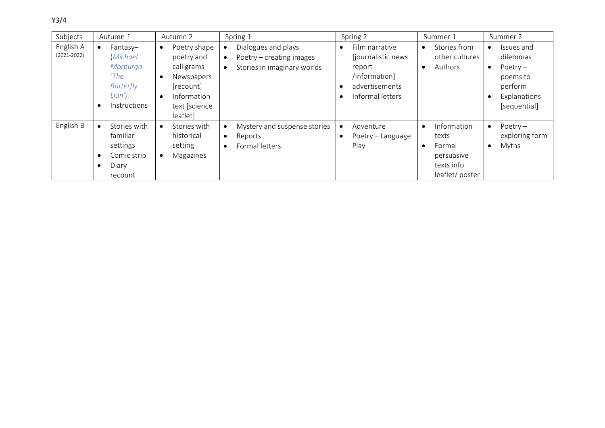Y3/4

| Subjects                     | Autumn 1                                                                                                           | Autumn 2                                                                                                                                               | Spring 1                                                                                                              | Spring 2                                                                                               | Summer 1                                                                                  | Summer 2                                                                                    |
|------------------------------|--------------------------------------------------------------------------------------------------------------------|--------------------------------------------------------------------------------------------------------------------------------------------------------|-----------------------------------------------------------------------------------------------------------------------|--------------------------------------------------------------------------------------------------------|-------------------------------------------------------------------------------------------|---------------------------------------------------------------------------------------------|
| English A<br>$(2021 - 2022)$ | Fantasy-<br>$\bullet$<br><i>(Michael</i><br>Morpurgo<br>'The<br><b>Butterfly</b><br>Lion').<br><b>Instructions</b> | Poetry shape<br>$\bullet$<br>poetry and<br>calligrams<br>Newspapers<br>$\bullet$<br>[recount]<br>Information<br>$\bullet$<br>text [science<br>leaflet] | Dialogues and plays<br>$\bullet$<br>Poetry – creating images<br>$\bullet$<br>Stories in imaginary worlds<br>$\bullet$ | Film narrative<br>[journalistic news]<br>report<br>/information]<br>advertisements<br>Informal letters | Stories from<br>$\bullet$<br>other cultures<br>Authors<br>$\bullet$                       | Issues and<br>dilemmas<br>Poetry $-$<br>poems to<br>perform<br>Explanations<br>[sequential] |
| English B                    | Stories with<br>$\bullet$<br>familiar<br>settings<br>Comic strip<br>Diary<br>$\bullet$<br>recount                  | Stories with<br>$\bullet$<br>historical<br>setting<br>Magazines                                                                                        | Mystery and suspense stories<br>$\bullet$<br>Reports<br>$\bullet$<br>Formal letters<br>$\bullet$                      | Adventure<br>$\bullet$<br>Poetry - Language<br>Play                                                    | Information<br>$\bullet$<br>texts<br>Formal<br>persuasive<br>texts info<br>leaflet/poster | Poetry $-$<br>exploring form<br>Myths                                                       |